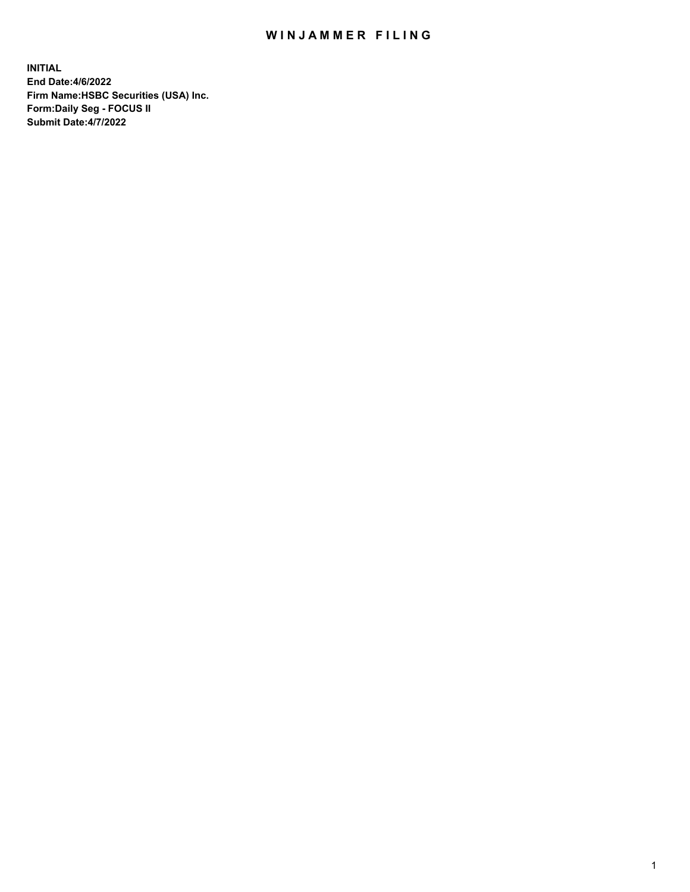## WIN JAMMER FILING

**INITIAL End Date:4/6/2022 Firm Name:HSBC Securities (USA) Inc. Form:Daily Seg - FOCUS II Submit Date:4/7/2022**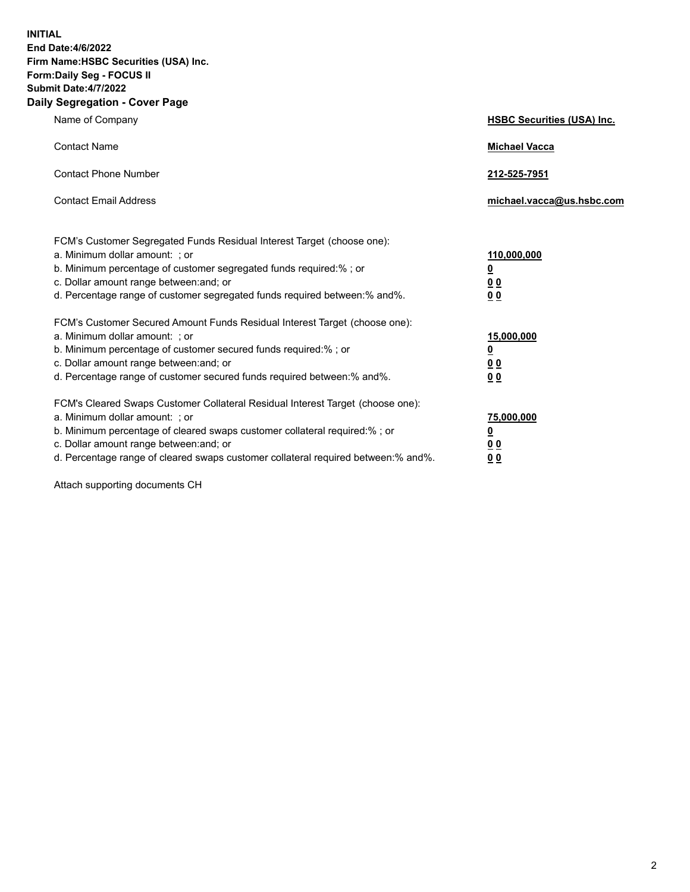**INITIAL End Date:4/6/2022 Firm Name:HSBC Securities (USA) Inc. Form:Daily Seg - FOCUS II Submit Date:4/7/2022 Daily Segregation - Cover Page**

| Name of Company                                                                                                                                                                                                                                                                                                                | <b>HSBC Securities (USA) Inc.</b>                          |
|--------------------------------------------------------------------------------------------------------------------------------------------------------------------------------------------------------------------------------------------------------------------------------------------------------------------------------|------------------------------------------------------------|
| <b>Contact Name</b>                                                                                                                                                                                                                                                                                                            | <b>Michael Vacca</b>                                       |
| <b>Contact Phone Number</b>                                                                                                                                                                                                                                                                                                    | 212-525-7951                                               |
| <b>Contact Email Address</b>                                                                                                                                                                                                                                                                                                   | michael.vacca@us.hsbc.com                                  |
| FCM's Customer Segregated Funds Residual Interest Target (choose one):<br>a. Minimum dollar amount: ; or<br>b. Minimum percentage of customer segregated funds required:% ; or<br>c. Dollar amount range between: and; or<br>d. Percentage range of customer segregated funds required between:% and%.                         | 110,000,000<br><u>0</u><br>0 <sub>0</sub><br>00            |
| FCM's Customer Secured Amount Funds Residual Interest Target (choose one):<br>a. Minimum dollar amount: ; or<br>b. Minimum percentage of customer secured funds required:%; or<br>c. Dollar amount range between: and; or<br>d. Percentage range of customer secured funds required between:% and%.                            | 15,000,000<br><u>0</u><br>0 <sub>0</sub><br>0 <sub>0</sub> |
| FCM's Cleared Swaps Customer Collateral Residual Interest Target (choose one):<br>a. Minimum dollar amount: ; or<br>b. Minimum percentage of cleared swaps customer collateral required:% ; or<br>c. Dollar amount range between: and; or<br>d. Percentage range of cleared swaps customer collateral required between:% and%. | 75,000,000<br><u>0</u><br><u>00</u><br>00                  |

Attach supporting documents CH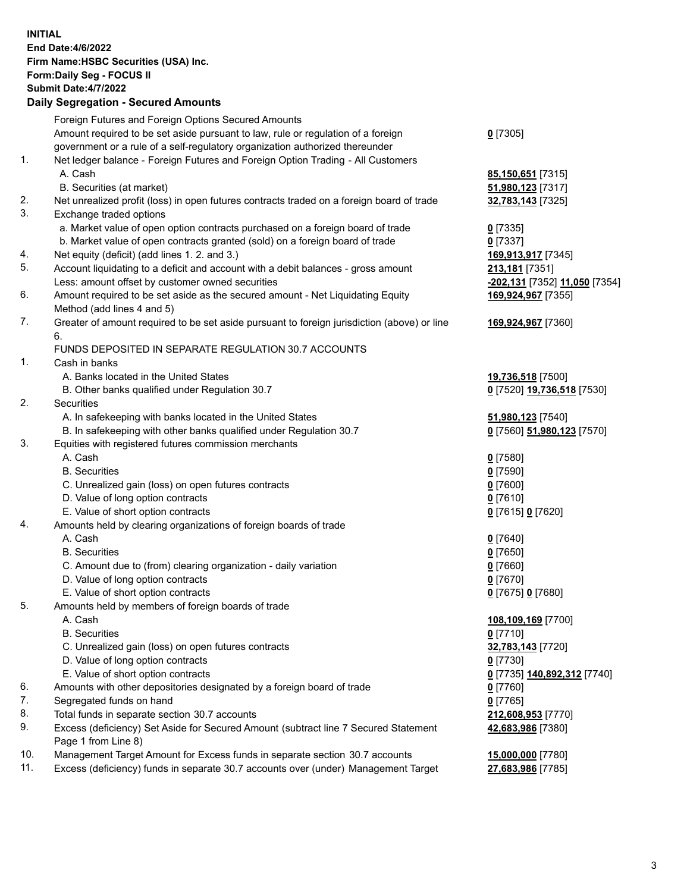**INITIAL End Date:4/6/2022 Firm Name:HSBC Securities (USA) Inc. Form:Daily Seg - FOCUS II Submit Date:4/7/2022 Daily Segregation - Secured Amounts** Foreign Futures and Foreign Options Secured Amounts Amount required to be set aside pursuant to law, rule or regulation of a foreign government or a rule of a self-regulatory organization authorized thereunder **0** [7305] 1. Net ledger balance - Foreign Futures and Foreign Option Trading - All Customers A. Cash **85,150,651** [7315] B. Securities (at market) **51,980,123** [7317] 2. Net unrealized profit (loss) in open futures contracts traded on a foreign board of trade **32,783,143** [7325] 3. Exchange traded options a. Market value of open option contracts purchased on a foreign board of trade **0** [7335] b. Market value of open contracts granted (sold) on a foreign board of trade **0** [7337] 4. Net equity (deficit) (add lines 1. 2. and 3.) **169,913,917** [7345] 5. Account liquidating to a deficit and account with a debit balances - gross amount **213,181** [7351] Less: amount offset by customer owned securities **-202,131** [7352] **11,050** [7354] 6. Amount required to be set aside as the secured amount - Net Liquidating Equity Method (add lines 4 and 5) **169,924,967** [7355] 7. Greater of amount required to be set aside pursuant to foreign jurisdiction (above) or line 6. **169,924,967** [7360] FUNDS DEPOSITED IN SEPARATE REGULATION 30.7 ACCOUNTS 1. Cash in banks A. Banks located in the United States **19,736,518** [7500] B. Other banks qualified under Regulation 30.7 **0** [7520] **19,736,518** [7530] 2. Securities A. In safekeeping with banks located in the United States **51,980,123** [7540] B. In safekeeping with other banks qualified under Regulation 30.7 **0** [7560] **51,980,123** [7570] 3. Equities with registered futures commission merchants A. Cash **0** [7580] B. Securities **0** [7590] C. Unrealized gain (loss) on open futures contracts **0** [7600] D. Value of long option contracts **0** [7610] E. Value of short option contracts **0** [7615] **0** [7620] 4. Amounts held by clearing organizations of foreign boards of trade A. Cash **0** [7640] B. Securities **0** [7650] C. Amount due to (from) clearing organization - daily variation **0** [7660] D. Value of long option contracts **0** [7670] E. Value of short option contracts **0** [7675] **0** [7680] 5. Amounts held by members of foreign boards of trade A. Cash **108,109,169** [7700] B. Securities **0** [7710] C. Unrealized gain (loss) on open futures contracts **32,783,143** [7720] D. Value of long option contracts **0** [7730] E. Value of short option contracts **0** [7735] **140,892,312** [7740] 6. Amounts with other depositories designated by a foreign board of trade **0** [7760] 7. Segregated funds on hand **0** [7765] 8. Total funds in separate section 30.7 accounts **212,608,953** [7770] 9. Excess (deficiency) Set Aside for Secured Amount (subtract line 7 Secured Statement Page 1 from Line 8) **42,683,986** [7380] 10. Management Target Amount for Excess funds in separate section 30.7 accounts **15,000,000** [7780] 11. Excess (deficiency) funds in separate 30.7 accounts over (under) Management Target **27,683,986** [7785]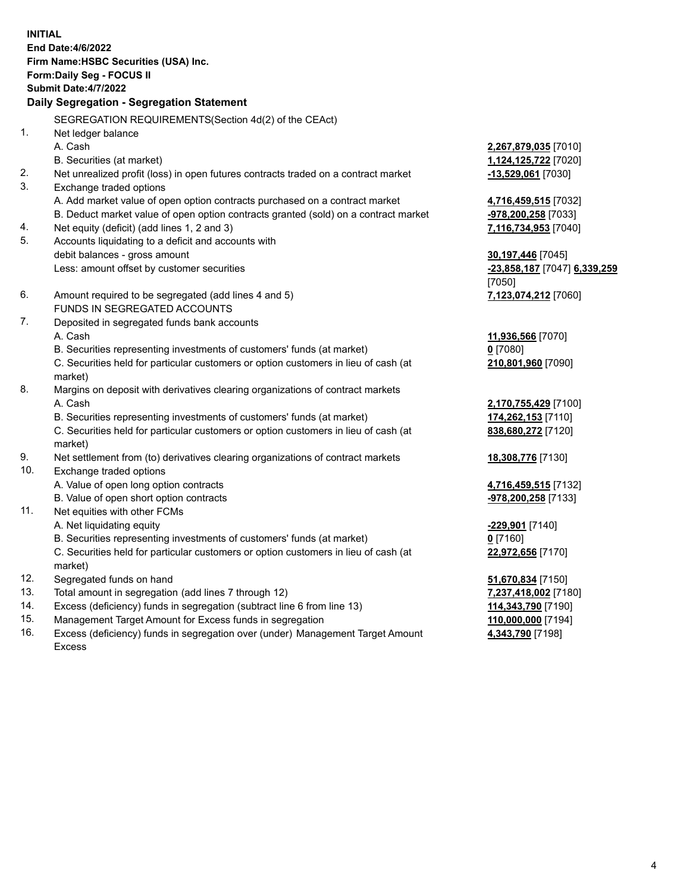| <b>INITIAL</b> | End Date: 4/6/2022<br>Firm Name: HSBC Securities (USA) Inc.<br>Form: Daily Seg - FOCUS II<br>Submit Date: 4/7/2022<br>Daily Segregation - Segregation Statement |                              |
|----------------|-----------------------------------------------------------------------------------------------------------------------------------------------------------------|------------------------------|
|                | SEGREGATION REQUIREMENTS(Section 4d(2) of the CEAct)                                                                                                            |                              |
| 1.             | Net ledger balance                                                                                                                                              |                              |
|                | A. Cash                                                                                                                                                         | 2,267,879,035 [7010]         |
| 2.             | B. Securities (at market)                                                                                                                                       | 1,124,125,722 [7020]         |
| 3.             | Net unrealized profit (loss) in open futures contracts traded on a contract market<br>Exchange traded options                                                   | -13,529,061 [7030]           |
|                | A. Add market value of open option contracts purchased on a contract market                                                                                     | 4,716,459,515 [7032]         |
|                | B. Deduct market value of open option contracts granted (sold) on a contract market                                                                             | <u>-978,200,258</u> [7033]   |
| 4.             | Net equity (deficit) (add lines 1, 2 and 3)                                                                                                                     | 7,116,734,953 [7040]         |
| 5.             | Accounts liquidating to a deficit and accounts with                                                                                                             |                              |
|                | debit balances - gross amount                                                                                                                                   | 30,197,446 [7045]            |
|                | Less: amount offset by customer securities                                                                                                                      | -23,858,187 [7047] 6,339,259 |
|                |                                                                                                                                                                 | [7050]                       |
| 6.             | Amount required to be segregated (add lines 4 and 5)                                                                                                            | 7,123,074,212 [7060]         |
|                | FUNDS IN SEGREGATED ACCOUNTS                                                                                                                                    |                              |
| 7.             | Deposited in segregated funds bank accounts                                                                                                                     |                              |
|                | A. Cash                                                                                                                                                         | 11,936,566 [7070]            |
|                | B. Securities representing investments of customers' funds (at market)                                                                                          | $0$ [7080]                   |
|                | C. Securities held for particular customers or option customers in lieu of cash (at<br>market)                                                                  | 210,801,960 [7090]           |
| 8.             | Margins on deposit with derivatives clearing organizations of contract markets                                                                                  |                              |
|                | A. Cash                                                                                                                                                         | 2,170,755,429 [7100]         |
|                | B. Securities representing investments of customers' funds (at market)                                                                                          | 174,262,153 [7110]           |
|                | C. Securities held for particular customers or option customers in lieu of cash (at<br>market)                                                                  | 838,680,272 [7120]           |
| 9.             | Net settlement from (to) derivatives clearing organizations of contract markets                                                                                 | 18,308,776 [7130]            |
| 10.            | Exchange traded options                                                                                                                                         |                              |
|                | A. Value of open long option contracts                                                                                                                          | 4,716,459,515 [7132]         |
|                | B. Value of open short option contracts                                                                                                                         | $-978,200,258$ [7133]        |
| 11.            | Net equities with other FCMs                                                                                                                                    |                              |
|                | A. Net liquidating equity                                                                                                                                       | -229,901 [7140]              |
|                | B. Securities representing investments of customers' funds (at market)                                                                                          | 0 [7160]                     |
|                | C. Securities held for particular customers or option customers in lieu of cash (at<br>market)                                                                  | 22,972,656 [7170]            |
| 12.            | Segregated funds on hand                                                                                                                                        | 51,670,834 [7150]            |
| 13.            | Total amount in segregation (add lines 7 through 12)                                                                                                            | 7,237,418,002 [7180]         |
| 14.            | Excess (deficiency) funds in segregation (subtract line 6 from line 13)                                                                                         | 114,343,790 [7190]           |
| 15.            | Management Target Amount for Excess funds in segregation                                                                                                        | 110,000,000 [7194]           |
| 16.            | Excess (deficiency) funds in segregation over (under) Management Target Amount                                                                                  | 4,343,790 [7198]             |

- 15. Management Target Amount for Excess funds in segregation<br>16. Excess (deficiency) funds in segregation over (under) Manag Excess (deficiency) funds in segregation over (under) Management Target Amount
	- Excess